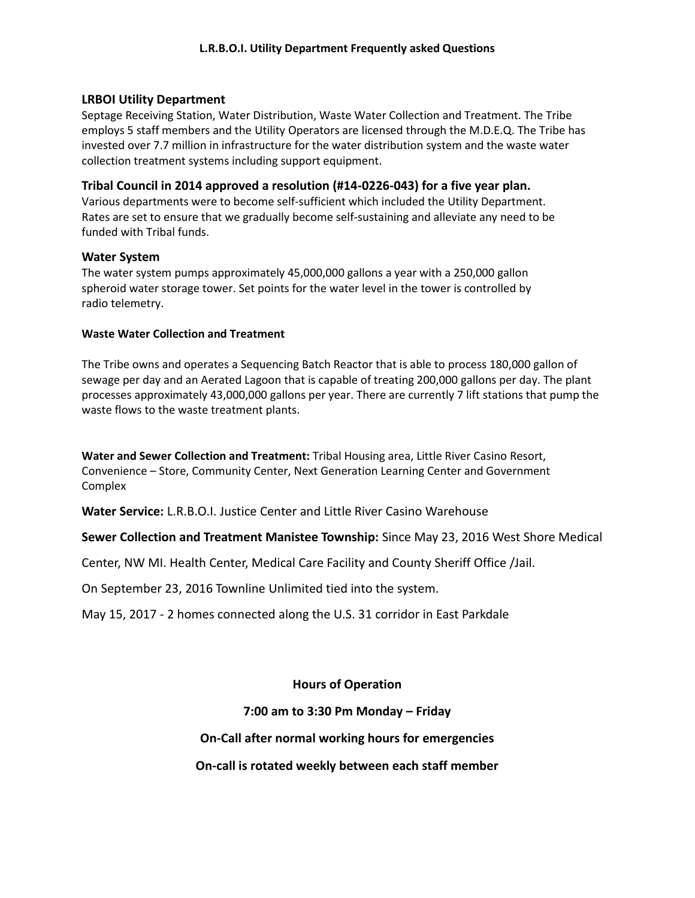### **LRBOI Utility Department**

Septage Receiving Station, Water Distribution, Waste Water Collection and Treatment. The Tribe employs 5 staff members and the Utility Operators are licensed through the M.D.E.Q. The Tribe has invested over 7.7 million in infrastructure for the water distribution system and the waste water collection treatment systems including support equipment.

### **Tribal Council in 2014 approved a resolution (#14-0226-043) for a five year plan.**

Various departments were to become self-sufficient which included the Utility Department. Rates are set to ensure that we gradually become self-sustaining and alleviate any need to be funded with Tribal funds.

#### **Water System**

The water system pumps approximately 45,000,000 gallons a year with a 250,000 gallon spheroid water storage tower. Set points for the water level in the tower is controlled by radio telemetry.

#### **Waste Water Collection and Treatment**

The Tribe owns and operates a Sequencing Batch Reactor that is able to process 180,000 gallon of sewage per day and an Aerated Lagoon that is capable of treating 200,000 gallons per day. The plant processes approximately 43,000,000 gallons per year. There are currently 7 lift stations that pump the waste flows to the waste treatment plants.

**Water and Sewer Collection and Treatment:** Tribal Housing area, Little River Casino Resort, Convenience – Store, Community Center, Next Generation Learning Center and Government Complex

**Water Service:** L.R.B.O.I. Justice Center and Little River Casino Warehouse

**Sewer Collection and Treatment Manistee Township:** Since May 23, 2016 West Shore Medical

Center, NW MI. Health Center, Medical Care Facility and County Sheriff Office /Jail.

On September 23, 2016 Townline Unlimited tied into the system.

May 15, 2017 - 2 homes connected along the U.S. 31 corridor in East Parkdale

**Hours of Operation**

## **7:00 am to 3:30 Pm Monday – Friday**

**On-Call after normal working hours for emergencies** 

**On-call is rotated weekly between each staff member**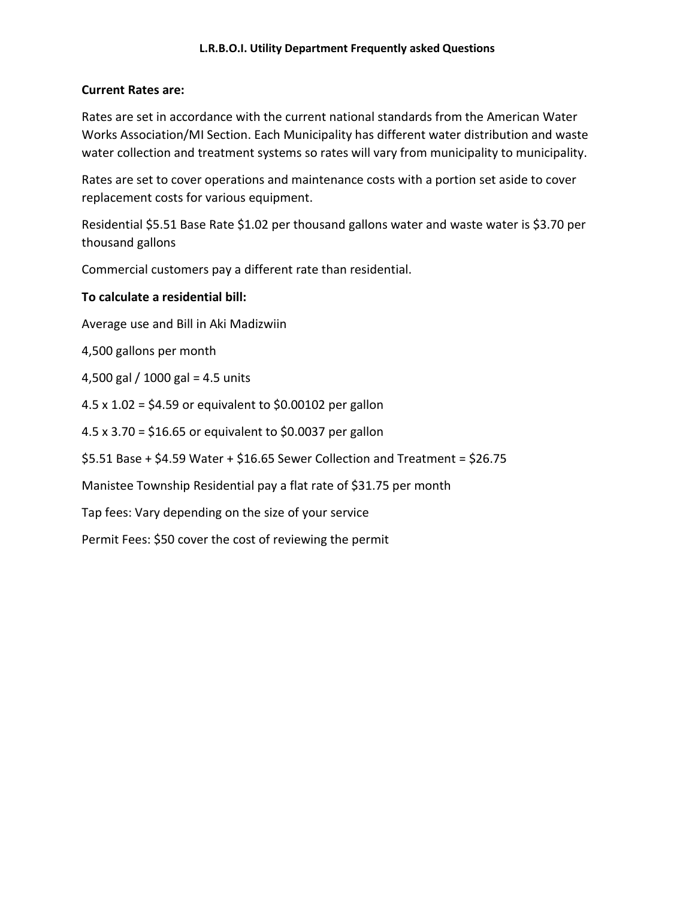# **Current Rates are:**

Rates are set in accordance with the current national standards from the American Water Works Association/MI Section. Each Municipality has different water distribution and waste water collection and treatment systems so rates will vary from municipality to municipality.

Rates are set to cover operations and maintenance costs with a portion set aside to cover replacement costs for various equipment.

Residential \$5.51 Base Rate \$1.02 per thousand gallons water and waste water is \$3.70 per thousand gallons

Commercial customers pay a different rate than residential.

# **To calculate a residential bill:**

Average use and Bill in Aki Madizwiin

4,500 gallons per month

4,500 gal / 1000 gal = 4.5 units

4.5 x 1.02 = \$4.59 or equivalent to \$0.00102 per gallon

4.5 x 3.70 = \$16.65 or equivalent to \$0.0037 per gallon

\$5.51 Base + \$4.59 Water + \$16.65 Sewer Collection and Treatment = \$26.75

Manistee Township Residential pay a flat rate of \$31.75 per month

Tap fees: Vary depending on the size of your service

Permit Fees: \$50 cover the cost of reviewing the permit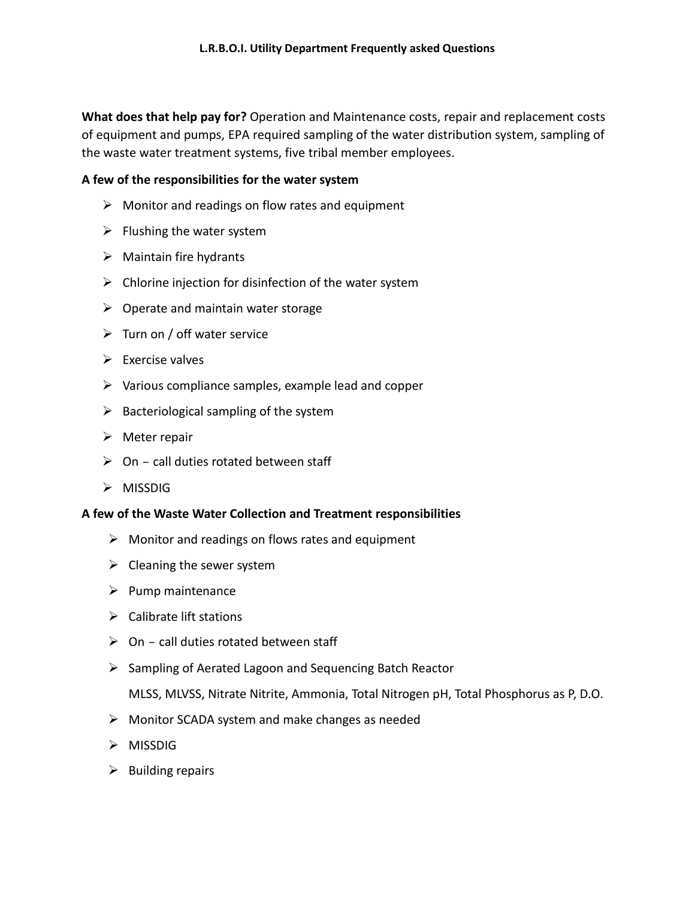**What does that help pay for?** Operation and Maintenance costs, repair and replacement costs of equipment and pumps, EPA required sampling of the water distribution system, sampling of the waste water treatment systems, five tribal member employees.

## **A few of the responsibilities for the water system**

- $\triangleright$  Monitor and readings on flow rates and equipment
- $\triangleright$  Flushing the water system
- $\triangleright$  Maintain fire hydrants
- $\triangleright$  Chlorine injection for disinfection of the water system
- $\triangleright$  Operate and maintain water storage
- $\triangleright$  Turn on / off water service
- $\triangleright$  Exercise valves
- $\triangleright$  Various compliance samples, example lead and copper
- $\triangleright$  Bacteriological sampling of the system
- $\triangleright$  Meter repair
- $\triangleright$  On call duties rotated between staff
- $\triangleright$  MISSDIG

## **A few of the Waste Water Collection and Treatment responsibilities**

- $\triangleright$  Monitor and readings on flows rates and equipment
- $\triangleright$  Cleaning the sewer system
- $\triangleright$  Pump maintenance
- $\triangleright$  Calibrate lift stations
- $\triangleright$  On call duties rotated between staff
- $\triangleright$  Sampling of Aerated Lagoon and Sequencing Batch Reactor

MLSS, MLVSS, Nitrate Nitrite, Ammonia, Total Nitrogen pH, Total Phosphorus as P, D.O.

- $\triangleright$  Monitor SCADA system and make changes as needed
- $\triangleright$  MISSDIG
- $\triangleright$  Building repairs